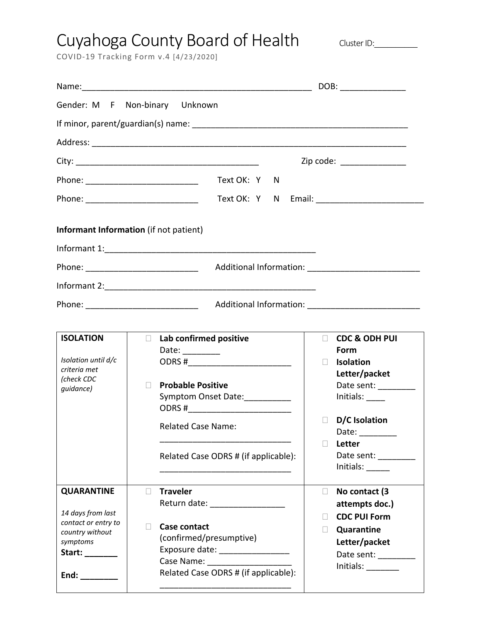## Cuyahoga County Board of Health Cluster ID:\_\_\_\_\_\_

COVID‐19 Tracking Form v.4 [4/23/2020]

|                                                                                                                                                                                                                                                                                                                                                                                                                                                                                                                                     | DOB: ________________                                                                                                                                                                                                                                                                            |                                                                                                                                                                                                                                                                                                                                               |  |  |  |  |
|-------------------------------------------------------------------------------------------------------------------------------------------------------------------------------------------------------------------------------------------------------------------------------------------------------------------------------------------------------------------------------------------------------------------------------------------------------------------------------------------------------------------------------------|--------------------------------------------------------------------------------------------------------------------------------------------------------------------------------------------------------------------------------------------------------------------------------------------------|-----------------------------------------------------------------------------------------------------------------------------------------------------------------------------------------------------------------------------------------------------------------------------------------------------------------------------------------------|--|--|--|--|
|                                                                                                                                                                                                                                                                                                                                                                                                                                                                                                                                     | Gender: M F Non-binary Unknown                                                                                                                                                                                                                                                                   |                                                                                                                                                                                                                                                                                                                                               |  |  |  |  |
|                                                                                                                                                                                                                                                                                                                                                                                                                                                                                                                                     |                                                                                                                                                                                                                                                                                                  |                                                                                                                                                                                                                                                                                                                                               |  |  |  |  |
|                                                                                                                                                                                                                                                                                                                                                                                                                                                                                                                                     |                                                                                                                                                                                                                                                                                                  |                                                                                                                                                                                                                                                                                                                                               |  |  |  |  |
|                                                                                                                                                                                                                                                                                                                                                                                                                                                                                                                                     |                                                                                                                                                                                                                                                                                                  | Zip code: _______________                                                                                                                                                                                                                                                                                                                     |  |  |  |  |
|                                                                                                                                                                                                                                                                                                                                                                                                                                                                                                                                     | Text OK: Y N<br>Phone: _______________________________                                                                                                                                                                                                                                           |                                                                                                                                                                                                                                                                                                                                               |  |  |  |  |
|                                                                                                                                                                                                                                                                                                                                                                                                                                                                                                                                     | Phone: _______________________________                                                                                                                                                                                                                                                           |                                                                                                                                                                                                                                                                                                                                               |  |  |  |  |
|                                                                                                                                                                                                                                                                                                                                                                                                                                                                                                                                     | Informant Information (if not patient)                                                                                                                                                                                                                                                           |                                                                                                                                                                                                                                                                                                                                               |  |  |  |  |
|                                                                                                                                                                                                                                                                                                                                                                                                                                                                                                                                     |                                                                                                                                                                                                                                                                                                  |                                                                                                                                                                                                                                                                                                                                               |  |  |  |  |
|                                                                                                                                                                                                                                                                                                                                                                                                                                                                                                                                     |                                                                                                                                                                                                                                                                                                  |                                                                                                                                                                                                                                                                                                                                               |  |  |  |  |
|                                                                                                                                                                                                                                                                                                                                                                                                                                                                                                                                     |                                                                                                                                                                                                                                                                                                  |                                                                                                                                                                                                                                                                                                                                               |  |  |  |  |
|                                                                                                                                                                                                                                                                                                                                                                                                                                                                                                                                     |                                                                                                                                                                                                                                                                                                  |                                                                                                                                                                                                                                                                                                                                               |  |  |  |  |
|                                                                                                                                                                                                                                                                                                                                                                                                                                                                                                                                     |                                                                                                                                                                                                                                                                                                  |                                                                                                                                                                                                                                                                                                                                               |  |  |  |  |
| <b>ISOLATION</b><br>Isolation until d/c<br>criteria met<br>(check CDC<br>guidance)                                                                                                                                                                                                                                                                                                                                                                                                                                                  | Lab confirmed positive<br>$\Box$<br>Date: $\frac{1}{\sqrt{1-\frac{1}{2}}\cdot\frac{1}{2}}$<br>ODRS #__________________________<br><b>Probable Positive</b><br>П<br>Symptom Onset Date:<br>ODRS #___________________________<br><b>Related Case Name:</b><br>Related Case ODRS # (if applicable): | <b>CDC &amp; ODH PUI</b><br>П<br>Form<br><b>Isolation</b><br>$\Box$<br>Letter/packet<br>Date sent: _________<br>Initials: $\_\_$<br>D/C Isolation<br>$\Box$<br>Date:<br>Letter<br>$\Box$<br>Date sent: _________<br>Initials: $\frac{1}{\sqrt{1-\frac{1}{2}}\sqrt{1-\frac{1}{2}}\sqrt{1-\frac{1}{2}}\sqrt{1-\frac{1}{2}}\sqrt{1-\frac{1}{2}}$ |  |  |  |  |
| <b>QUARANTINE</b><br>14 days from last<br>contact or entry to<br>country without<br>symptoms<br>Start: ________<br>End: $\frac{1}{\frac{1}{1-\frac{1}{1-\frac{1}{1-\frac{1}{1-\frac{1}{1-\frac{1}{1-\frac{1}{1-\frac{1}{1-\frac{1}{1-\frac{1}{1-\frac{1}{1-\frac{1}{1-\frac{1}{1-\frac{1}{1-\frac{1}{1-\frac{1}{1-\frac{1}{1-\frac{1}{1-\frac{1}{1-\frac{1}{1-\frac{1}{1-\frac{1}{1-\frac{1}{1-\frac{1}{1-\frac{1}{1-\frac{1}{1-\frac{1}{1-\frac{1}{1-\frac{1}{1-\frac{1}{1-\frac{1}{1-\frac{1}{1-\frac{1}{1-\frac{1}{1-\frac{1}{1$ | <b>Traveler</b><br>$\Box$<br>Return date: ___________________<br><b>Case contact</b><br>(confirmed/presumptive)<br>Exposure date: __________________<br>Case Name: The Case Name:<br>Related Case ODRS # (if applicable):                                                                        | No contact (3<br>П<br>attempts doc.)<br><b>CDC PUI Form</b><br>Quarantine<br>$\Box$<br>Letter/packet<br>Date sent:<br>$Initials: \_\_$                                                                                                                                                                                                        |  |  |  |  |